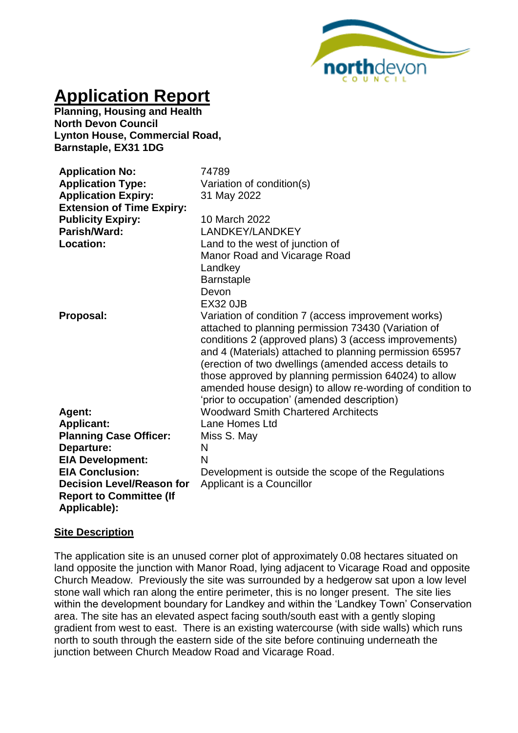

# **Application Report**

**Planning, Housing and Health North Devon Council Lynton House, Commercial Road, Barnstaple, EX31 1DG**

| <b>Application No:</b><br><b>Application Type:</b><br><b>Application Expiry:</b><br><b>Extension of Time Expiry:</b> | 74789<br>Variation of condition(s)<br>31 May 2022                                                                                                                                                                                                                                                                                                                                                                                                            |
|----------------------------------------------------------------------------------------------------------------------|--------------------------------------------------------------------------------------------------------------------------------------------------------------------------------------------------------------------------------------------------------------------------------------------------------------------------------------------------------------------------------------------------------------------------------------------------------------|
| <b>Publicity Expiry:</b>                                                                                             | 10 March 2022                                                                                                                                                                                                                                                                                                                                                                                                                                                |
| Parish/Ward:                                                                                                         | LANDKEY/LANDKEY                                                                                                                                                                                                                                                                                                                                                                                                                                              |
| Location:                                                                                                            | Land to the west of junction of                                                                                                                                                                                                                                                                                                                                                                                                                              |
|                                                                                                                      | Manor Road and Vicarage Road                                                                                                                                                                                                                                                                                                                                                                                                                                 |
|                                                                                                                      | Landkey                                                                                                                                                                                                                                                                                                                                                                                                                                                      |
|                                                                                                                      | <b>Barnstaple</b>                                                                                                                                                                                                                                                                                                                                                                                                                                            |
|                                                                                                                      | Devon                                                                                                                                                                                                                                                                                                                                                                                                                                                        |
|                                                                                                                      | <b>EX32 0JB</b>                                                                                                                                                                                                                                                                                                                                                                                                                                              |
| Proposal:                                                                                                            | Variation of condition 7 (access improvement works)<br>attached to planning permission 73430 (Variation of<br>conditions 2 (approved plans) 3 (access improvements)<br>and 4 (Materials) attached to planning permission 65957<br>(erection of two dwellings (amended access details to<br>those approved by planning permission 64024) to allow<br>amended house design) to allow re-wording of condition to<br>'prior to occupation' (amended description) |
| Agent:                                                                                                               | <b>Woodward Smith Chartered Architects</b>                                                                                                                                                                                                                                                                                                                                                                                                                   |
| <b>Applicant:</b>                                                                                                    | Lane Homes Ltd                                                                                                                                                                                                                                                                                                                                                                                                                                               |
| <b>Planning Case Officer:</b>                                                                                        | Miss S. May                                                                                                                                                                                                                                                                                                                                                                                                                                                  |
| Departure:                                                                                                           | N                                                                                                                                                                                                                                                                                                                                                                                                                                                            |
| <b>EIA Development:</b>                                                                                              | N                                                                                                                                                                                                                                                                                                                                                                                                                                                            |
| <b>EIA Conclusion:</b>                                                                                               | Development is outside the scope of the Regulations                                                                                                                                                                                                                                                                                                                                                                                                          |
| <b>Decision Level/Reason for</b>                                                                                     | Applicant is a Councillor                                                                                                                                                                                                                                                                                                                                                                                                                                    |
| <b>Report to Committee (If</b>                                                                                       |                                                                                                                                                                                                                                                                                                                                                                                                                                                              |
| Applicable):                                                                                                         |                                                                                                                                                                                                                                                                                                                                                                                                                                                              |

#### **Site Description**

The application site is an unused corner plot of approximately 0.08 hectares situated on land opposite the junction with Manor Road, lying adjacent to Vicarage Road and opposite Church Meadow. Previously the site was surrounded by a hedgerow sat upon a low level stone wall which ran along the entire perimeter, this is no longer present. The site lies within the development boundary for Landkey and within the 'Landkey Town' Conservation area. The site has an elevated aspect facing south/south east with a gently sloping gradient from west to east. There is an existing watercourse (with side walls) which runs north to south through the eastern side of the site before continuing underneath the junction between Church Meadow Road and Vicarage Road.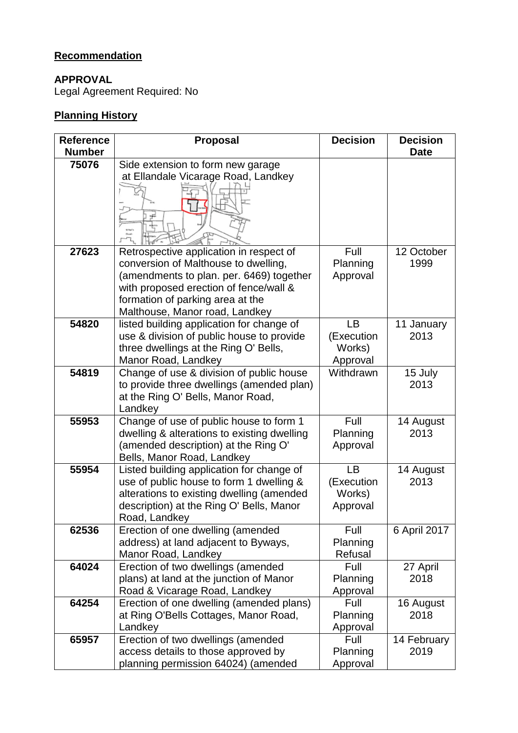# **Recommendation**

# **APPROVAL**

Legal Agreement Required: No

# **Planning History**

| <b>Reference</b> | <b>Proposal</b>                              | <b>Decision</b> | <b>Decision</b> |
|------------------|----------------------------------------------|-----------------|-----------------|
| <b>Number</b>    |                                              |                 | <b>Date</b>     |
| 75076            | Side extension to form new garage            |                 |                 |
|                  | at Ellandale Vicarage Road, Landkey          |                 |                 |
|                  |                                              |                 |                 |
| 27623            | Retrospective application in respect of      | Full            | 12 October      |
|                  | conversion of Malthouse to dwelling,         | Planning        | 1999            |
|                  | (amendments to plan. per. 6469) together     | Approval        |                 |
|                  | with proposed erection of fence/wall &       |                 |                 |
|                  | formation of parking area at the             |                 |                 |
|                  | Malthouse, Manor road, Landkey               |                 |                 |
| 54820            | listed building application for change of    | LB              | 11 January      |
|                  | use & division of public house to provide    | (Execution      | 2013            |
|                  | three dwellings at the Ring O' Bells,        | Works)          |                 |
|                  | Manor Road, Landkey                          | Approval        |                 |
| 54819            | Change of use & division of public house     | Withdrawn       | 15 July         |
|                  | to provide three dwellings (amended plan)    |                 | 2013            |
|                  | at the Ring O' Bells, Manor Road,<br>Landkey |                 |                 |
| 55953            | Change of use of public house to form 1      | Full            | 14 August       |
|                  | dwelling & alterations to existing dwelling  | Planning        | 2013            |
|                  | (amended description) at the Ring O'         | Approval        |                 |
|                  | Bells, Manor Road, Landkey                   |                 |                 |
| 55954            | Listed building application for change of    | LB              | 14 August       |
|                  | use of public house to form 1 dwelling &     | (Execution      | 2013            |
|                  | alterations to existing dwelling (amended    | Works)          |                 |
|                  | description) at the Ring O' Bells, Manor     | Approval        |                 |
|                  | Road, Landkey                                |                 |                 |
| 62536            | Erection of one dwelling (amended            | Full            | 6 April 2017    |
|                  | address) at land adjacent to Byways,         | Planning        |                 |
|                  | Manor Road, Landkey                          | Refusal         |                 |
| 64024            | Erection of two dwellings (amended           | Full            | 27 April        |
|                  | plans) at land at the junction of Manor      | Planning        | 2018            |
|                  | Road & Vicarage Road, Landkey                | Approval        |                 |
| 64254            | Erection of one dwelling (amended plans)     | Full            | 16 August       |
|                  | at Ring O'Bells Cottages, Manor Road,        | Planning        | 2018            |
|                  | Landkey                                      | Approval        |                 |
| 65957            | Erection of two dwellings (amended           | Full            | 14 February     |
|                  | access details to those approved by          | Planning        | 2019            |
|                  | planning permission 64024) (amended          | Approval        |                 |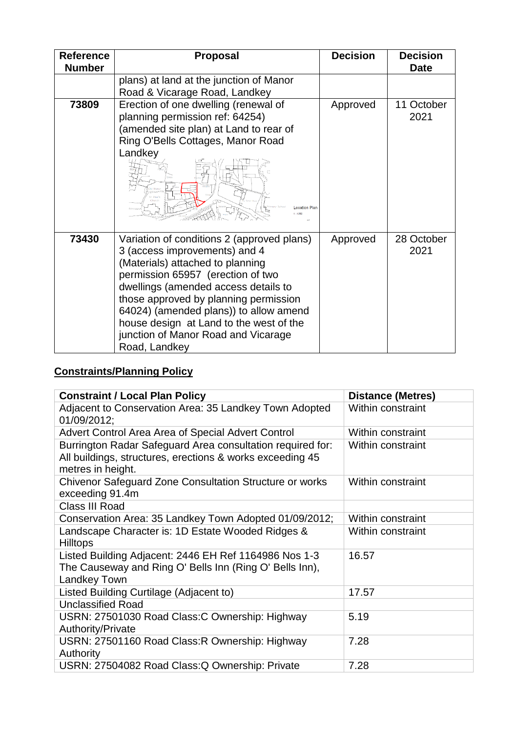| <b>Reference</b><br><b>Number</b> | <b>Proposal</b>                                                                                                                                                                                                                                                                                                                                                                    | <b>Decision</b> | <b>Decision</b><br><b>Date</b> |
|-----------------------------------|------------------------------------------------------------------------------------------------------------------------------------------------------------------------------------------------------------------------------------------------------------------------------------------------------------------------------------------------------------------------------------|-----------------|--------------------------------|
|                                   | plans) at land at the junction of Manor<br>Road & Vicarage Road, Landkey                                                                                                                                                                                                                                                                                                           |                 |                                |
| 73809                             | Erection of one dwelling (renewal of<br>planning permission ref: 64254)<br>(amended site plan) at Land to rear of<br>Ring O'Bells Cottages, Manor Road<br>Landkey<br><b>Location Plan</b>                                                                                                                                                                                          | Approved        | 11 October<br>2021             |
| 73430                             | Variation of conditions 2 (approved plans)<br>3 (access improvements) and 4<br>(Materials) attached to planning<br>permission 65957 (erection of two<br>dwellings (amended access details to<br>those approved by planning permission<br>64024) (amended plans)) to allow amend<br>house design at Land to the west of the<br>junction of Manor Road and Vicarage<br>Road, Landkey | Approved        | 28 October<br>2021             |

# **Constraints/Planning Policy**

| <b>Constraint / Local Plan Policy</b>                                                                                                        | <b>Distance (Metres)</b> |
|----------------------------------------------------------------------------------------------------------------------------------------------|--------------------------|
| Adjacent to Conservation Area: 35 Landkey Town Adopted<br>01/09/2012;                                                                        | Within constraint        |
| Advert Control Area Area of Special Advert Control                                                                                           | Within constraint        |
| Burrington Radar Safeguard Area consultation required for:<br>All buildings, structures, erections & works exceeding 45<br>metres in height. | Within constraint        |
| Chivenor Safeguard Zone Consultation Structure or works<br>exceeding 91.4m                                                                   | Within constraint        |
| Class III Road                                                                                                                               |                          |
| Conservation Area: 35 Landkey Town Adopted 01/09/2012;                                                                                       | Within constraint        |
| Landscape Character is: 1D Estate Wooded Ridges &<br><b>Hilltops</b>                                                                         | Within constraint        |
| Listed Building Adjacent: 2446 EH Ref 1164986 Nos 1-3<br>The Causeway and Ring O' Bells Inn (Ring O' Bells Inn),<br><b>Landkey Town</b>      | 16.57                    |
| Listed Building Curtilage (Adjacent to)                                                                                                      | 17.57                    |
| <b>Unclassified Road</b>                                                                                                                     |                          |
| USRN: 27501030 Road Class: C Ownership: Highway<br>Authority/Private                                                                         | 5.19                     |
| USRN: 27501160 Road Class: R Ownership: Highway<br>Authority                                                                                 | 7.28                     |
| USRN: 27504082 Road Class: Q Ownership: Private                                                                                              | 7.28                     |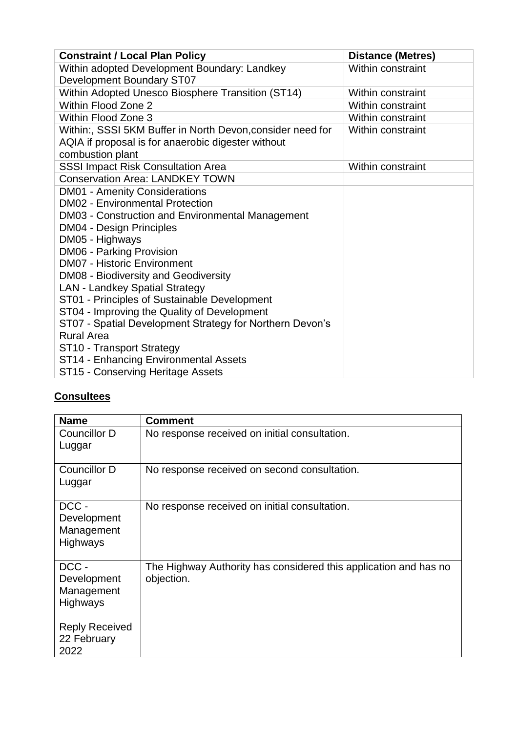| <b>Constraint / Local Plan Policy</b>                      | <b>Distance (Metres)</b> |
|------------------------------------------------------------|--------------------------|
| Within adopted Development Boundary: Landkey               | Within constraint        |
| <b>Development Boundary ST07</b>                           |                          |
| Within Adopted Unesco Biosphere Transition (ST14)          | Within constraint        |
| Within Flood Zone 2                                        | Within constraint        |
| Within Flood Zone 3                                        | Within constraint        |
| Within:, SSSI 5KM Buffer in North Devon, consider need for | Within constraint        |
| AQIA if proposal is for anaerobic digester without         |                          |
| combustion plant                                           |                          |
| <b>SSSI Impact Risk Consultation Area</b>                  | Within constraint        |
| <b>Conservation Area: LANDKEY TOWN</b>                     |                          |
| <b>DM01 - Amenity Considerations</b>                       |                          |
| <b>DM02 - Environmental Protection</b>                     |                          |
| DM03 - Construction and Environmental Management           |                          |
| <b>DM04 - Design Principles</b>                            |                          |
| DM05 - Highways                                            |                          |
| DM06 - Parking Provision                                   |                          |
| <b>DM07 - Historic Environment</b>                         |                          |
| DM08 - Biodiversity and Geodiversity                       |                          |
| <b>LAN - Landkey Spatial Strategy</b>                      |                          |
| ST01 - Principles of Sustainable Development               |                          |
| ST04 - Improving the Quality of Development                |                          |
| ST07 - Spatial Development Strategy for Northern Devon's   |                          |
| <b>Rural Area</b>                                          |                          |
| ST10 - Transport Strategy                                  |                          |
| ST14 - Enhancing Environmental Assets                      |                          |
| ST15 - Conserving Heritage Assets                          |                          |

# **Consultees**

| <b>Name</b>                                   | <b>Comment</b>                                                                 |
|-----------------------------------------------|--------------------------------------------------------------------------------|
| Councillor D<br>Luggar                        | No response received on initial consultation.                                  |
| Councillor D<br>Luggar                        | No response received on second consultation.                                   |
| DCC-<br>Development<br>Management<br>Highways | No response received on initial consultation.                                  |
| DCC-<br>Development<br>Management<br>Highways | The Highway Authority has considered this application and has no<br>objection. |
| <b>Reply Received</b><br>22 February<br>2022  |                                                                                |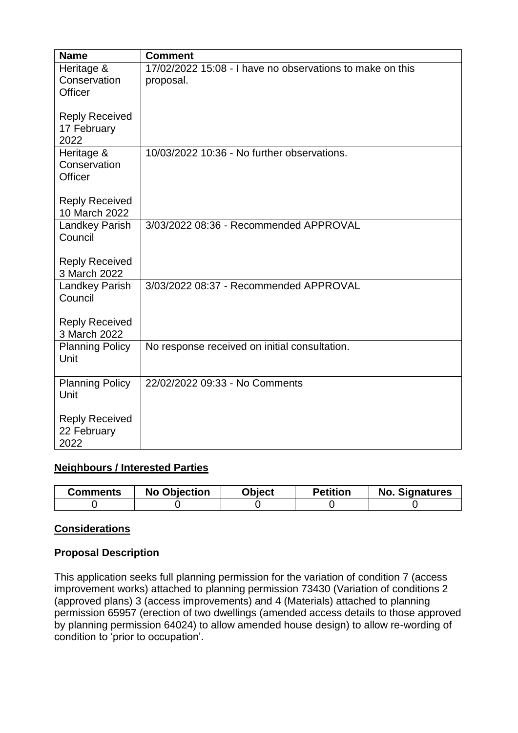| <b>Name</b>                                  | <b>Comment</b>                                                         |
|----------------------------------------------|------------------------------------------------------------------------|
| Heritage &<br>Conservation<br>Officer        | 17/02/2022 15:08 - I have no observations to make on this<br>proposal. |
| <b>Reply Received</b><br>17 February<br>2022 |                                                                        |
| Heritage &<br>Conservation<br>Officer        | 10/03/2022 10:36 - No further observations.                            |
| <b>Reply Received</b><br>10 March 2022       |                                                                        |
| <b>Landkey Parish</b><br>Council             | 3/03/2022 08:36 - Recommended APPROVAL                                 |
| <b>Reply Received</b><br>3 March 2022        |                                                                        |
| Landkey Parish<br>Council                    | 3/03/2022 08:37 - Recommended APPROVAL                                 |
| <b>Reply Received</b><br>3 March 2022        |                                                                        |
| <b>Planning Policy</b><br>Unit               | No response received on initial consultation.                          |
| <b>Planning Policy</b><br>Unit               | 22/02/2022 09:33 - No Comments                                         |
| <b>Reply Received</b><br>22 February<br>2022 |                                                                        |

# **Neighbours / Interested Parties**

| Comments | <b>No Objection</b> | <b>Object</b> | <b>Petition</b> | No.<br><b>Signatures</b> |
|----------|---------------------|---------------|-----------------|--------------------------|
|          |                     |               |                 |                          |

# **Considerations**

# **Proposal Description**

This application seeks full planning permission for the variation of condition 7 (access improvement works) attached to planning permission 73430 (Variation of conditions 2 (approved plans) 3 (access improvements) and 4 (Materials) attached to planning permission 65957 (erection of two dwellings (amended access details to those approved by planning permission 64024) to allow amended house design) to allow re-wording of condition to 'prior to occupation'.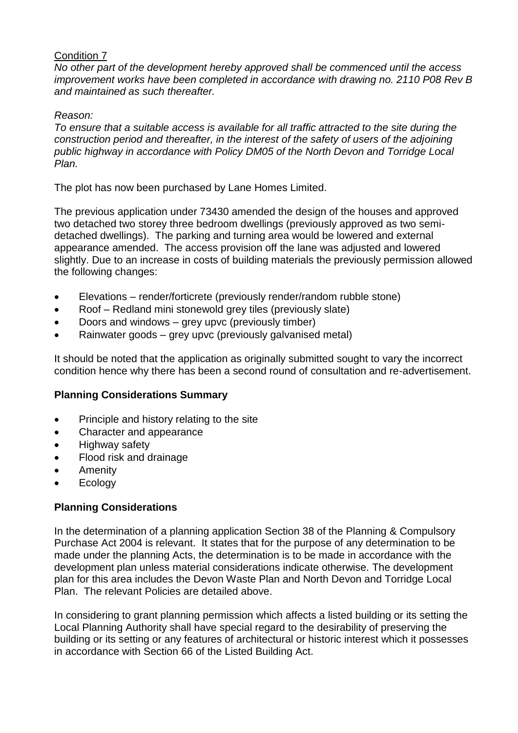#### Condition 7

*No other part of the development hereby approved shall be commenced until the access improvement works have been completed in accordance with drawing no. 2110 P08 Rev B and maintained as such thereafter.*

#### *Reason:*

*To ensure that a suitable access is available for all traffic attracted to the site during the construction period and thereafter, in the interest of the safety of users of the adjoining public highway in accordance with Policy DM05 of the North Devon and Torridge Local Plan.*

The plot has now been purchased by Lane Homes Limited.

The previous application under 73430 amended the design of the houses and approved two detached two storey three bedroom dwellings (previously approved as two semidetached dwellings). The parking and turning area would be lowered and external appearance amended. The access provision off the lane was adjusted and lowered slightly. Due to an increase in costs of building materials the previously permission allowed the following changes:

- Elevations render/forticrete (previously render/random rubble stone)
- Roof Redland mini stonewold grey tiles (previously slate)
- Doors and windows grey upvc (previously timber)
- Rainwater goods grey upvc (previously galvanised metal)

It should be noted that the application as originally submitted sought to vary the incorrect condition hence why there has been a second round of consultation and re-advertisement.

# **Planning Considerations Summary**

- Principle and history relating to the site
- Character and appearance
- Highway safety
- Flood risk and drainage
- Amenity
- Ecology

# **Planning Considerations**

In the determination of a planning application Section 38 of the Planning & Compulsory Purchase Act 2004 is relevant. It states that for the purpose of any determination to be made under the planning Acts, the determination is to be made in accordance with the development plan unless material considerations indicate otherwise. The development plan for this area includes the Devon Waste Plan and North Devon and Torridge Local Plan. The relevant Policies are detailed above.

In considering to grant planning permission which affects a listed building or its setting the Local Planning Authority shall have special regard to the desirability of preserving the building or its setting or any features of architectural or historic interest which it possesses in accordance with Section 66 of the Listed Building Act.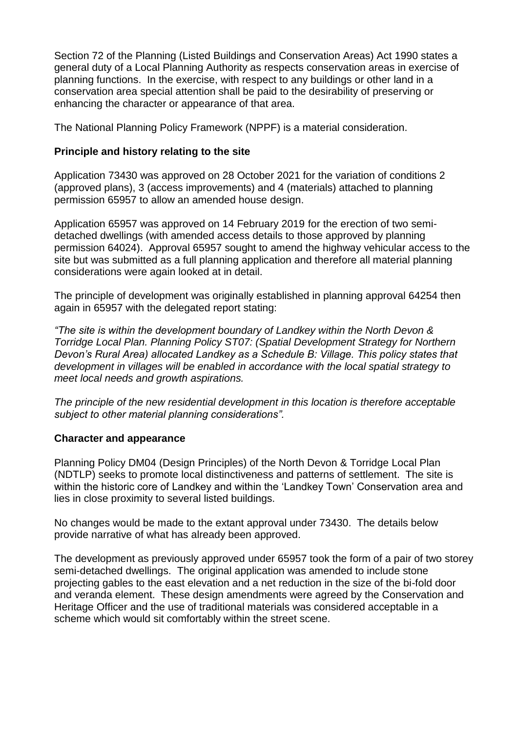Section 72 of the Planning (Listed Buildings and Conservation Areas) Act 1990 states a general duty of a Local Planning Authority as respects conservation areas in exercise of planning functions. In the exercise, with respect to any buildings or other land in a conservation area special attention shall be paid to the desirability of preserving or enhancing the character or appearance of that area.

The National Planning Policy Framework (NPPF) is a material consideration.

# **Principle and history relating to the site**

Application 73430 was approved on 28 October 2021 for the variation of conditions 2 (approved plans), 3 (access improvements) and 4 (materials) attached to planning permission 65957 to allow an amended house design.

Application 65957 was approved on 14 February 2019 for the erection of two semidetached dwellings (with amended access details to those approved by planning permission 64024). Approval 65957 sought to amend the highway vehicular access to the site but was submitted as a full planning application and therefore all material planning considerations were again looked at in detail.

The principle of development was originally established in planning approval 64254 then again in 65957 with the delegated report stating:

*"The site is within the development boundary of Landkey within the North Devon & Torridge Local Plan. Planning Policy ST07: (Spatial Development Strategy for Northern Devon's Rural Area) allocated Landkey as a Schedule B: Village. This policy states that development in villages will be enabled in accordance with the local spatial strategy to meet local needs and growth aspirations.*

*The principle of the new residential development in this location is therefore acceptable subject to other material planning considerations".*

# **Character and appearance**

Planning Policy DM04 (Design Principles) of the North Devon & Torridge Local Plan (NDTLP) seeks to promote local distinctiveness and patterns of settlement. The site is within the historic core of Landkey and within the 'Landkey Town' Conservation area and lies in close proximity to several listed buildings.

No changes would be made to the extant approval under 73430. The details below provide narrative of what has already been approved.

The development as previously approved under 65957 took the form of a pair of two storey semi-detached dwellings. The original application was amended to include stone projecting gables to the east elevation and a net reduction in the size of the bi-fold door and veranda element. These design amendments were agreed by the Conservation and Heritage Officer and the use of traditional materials was considered acceptable in a scheme which would sit comfortably within the street scene.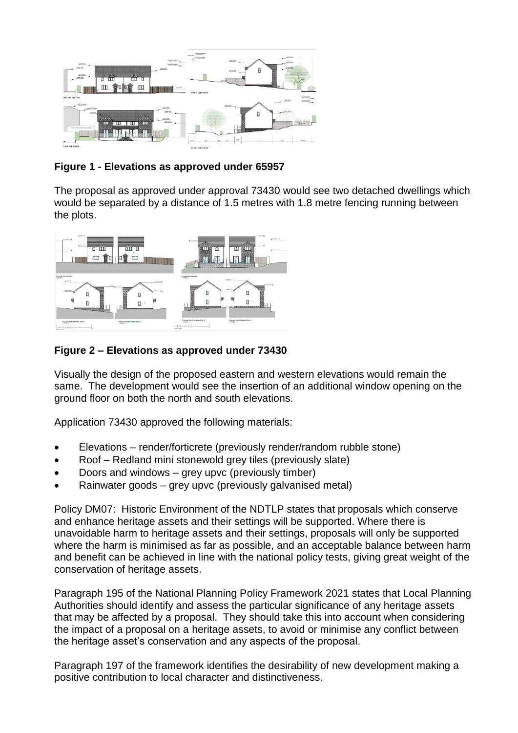

# **Figure 1 - Elevations as approved under 65957**

The proposal as approved under approval 73430 would see two detached dwellings which would be separated by a distance of 1.5 metres with 1.8 metre fencing running between the plots.



# **Figure 2 – Elevations as approved under 73430**

Visually the design of the proposed eastern and western elevations would remain the same. The development would see the insertion of an additional window opening on the ground floor on both the north and south elevations.

Application 73430 approved the following materials:

- Elevations render/forticrete (previously render/random rubble stone)
- Roof Redland mini stonewold grey tiles (previously slate)
- Doors and windows grey upvc (previously timber)
- Rainwater goods grey upvc (previously galvanised metal)

Policy DM07: Historic Environment of the NDTLP states that proposals which conserve and enhance heritage assets and their settings will be supported. Where there is unavoidable harm to heritage assets and their settings, proposals will only be supported where the harm is minimised as far as possible, and an acceptable balance between harm and benefit can be achieved in line with the national policy tests, giving great weight of the conservation of heritage assets.

Paragraph 195 of the National Planning Policy Framework 2021 states that Local Planning Authorities should identify and assess the particular significance of any heritage assets that may be affected by a proposal. They should take this into account when considering the impact of a proposal on a heritage assets, to avoid or minimise any conflict between the heritage asset's conservation and any aspects of the proposal.

Paragraph 197 of the framework identifies the desirability of new development making a positive contribution to local character and distinctiveness.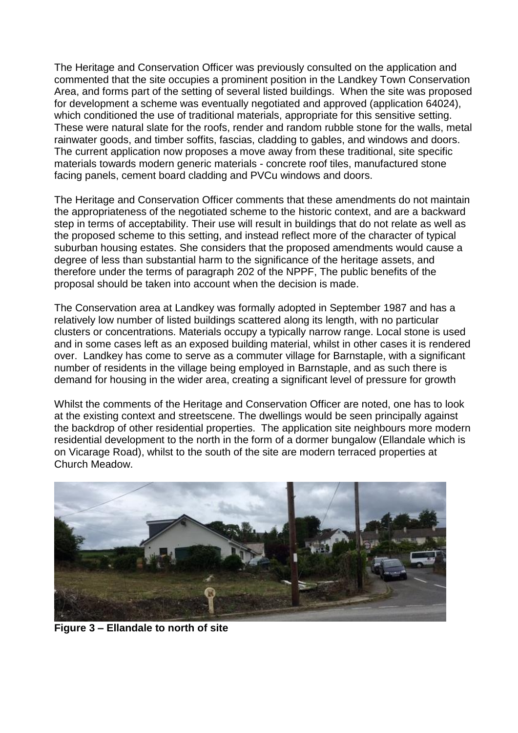The Heritage and Conservation Officer was previously consulted on the application and commented that the site occupies a prominent position in the Landkey Town Conservation Area, and forms part of the setting of several listed buildings. When the site was proposed for development a scheme was eventually negotiated and approved (application 64024), which conditioned the use of traditional materials, appropriate for this sensitive setting. These were natural slate for the roofs, render and random rubble stone for the walls, metal rainwater goods, and timber soffits, fascias, cladding to gables, and windows and doors. The current application now proposes a move away from these traditional, site specific materials towards modern generic materials - concrete roof tiles, manufactured stone facing panels, cement board cladding and PVCu windows and doors.

The Heritage and Conservation Officer comments that these amendments do not maintain the appropriateness of the negotiated scheme to the historic context, and are a backward step in terms of acceptability. Their use will result in buildings that do not relate as well as the proposed scheme to this setting, and instead reflect more of the character of typical suburban housing estates. She considers that the proposed amendments would cause a degree of less than substantial harm to the significance of the heritage assets, and therefore under the terms of paragraph 202 of the NPPF, The public benefits of the proposal should be taken into account when the decision is made.

The Conservation area at Landkey was formally adopted in September 1987 and has a relatively low number of listed buildings scattered along its length, with no particular clusters or concentrations. Materials occupy a typically narrow range. Local stone is used and in some cases left as an exposed building material, whilst in other cases it is rendered over. Landkey has come to serve as a commuter village for Barnstaple, with a significant number of residents in the village being employed in Barnstaple, and as such there is demand for housing in the wider area, creating a significant level of pressure for growth

Whilst the comments of the Heritage and Conservation Officer are noted, one has to look at the existing context and streetscene. The dwellings would be seen principally against the backdrop of other residential properties. The application site neighbours more modern residential development to the north in the form of a dormer bungalow (Ellandale which is on Vicarage Road), whilst to the south of the site are modern terraced properties at Church Meadow.



**Figure 3 – Ellandale to north of site**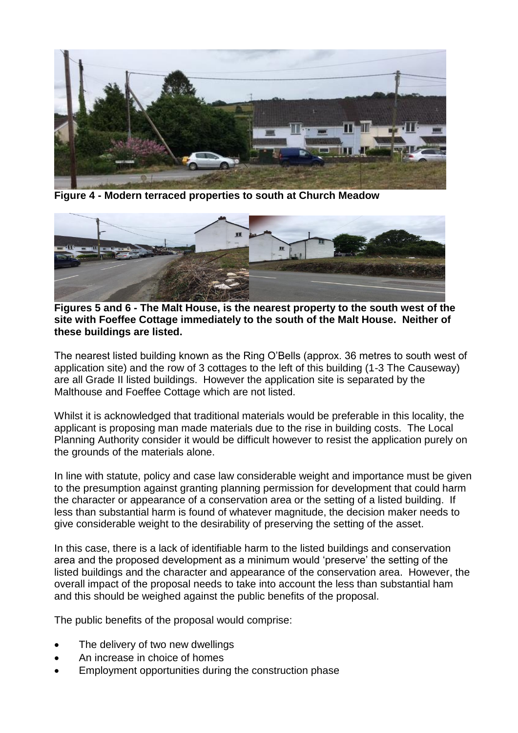

**Figure 4 - Modern terraced properties to south at Church Meadow**



**Figures 5 and 6 - The Malt House, is the nearest property to the south west of the site with Foeffee Cottage immediately to the south of the Malt House. Neither of these buildings are listed.** 

The nearest listed building known as the Ring O'Bells (approx. 36 metres to south west of application site) and the row of 3 cottages to the left of this building (1-3 The Causeway) are all Grade II listed buildings. However the application site is separated by the Malthouse and Foeffee Cottage which are not listed.

Whilst it is acknowledged that traditional materials would be preferable in this locality, the applicant is proposing man made materials due to the rise in building costs. The Local Planning Authority consider it would be difficult however to resist the application purely on the grounds of the materials alone.

In line with statute, policy and case law considerable weight and importance must be given to the presumption against granting planning permission for development that could harm the character or appearance of a conservation area or the setting of a listed building. If less than substantial harm is found of whatever magnitude, the decision maker needs to give considerable weight to the desirability of preserving the setting of the asset.

In this case, there is a lack of identifiable harm to the listed buildings and conservation area and the proposed development as a minimum would 'preserve' the setting of the listed buildings and the character and appearance of the conservation area. However, the overall impact of the proposal needs to take into account the less than substantial ham and this should be weighed against the public benefits of the proposal.

The public benefits of the proposal would comprise:

- The delivery of two new dwellings
- An increase in choice of homes
- Employment opportunities during the construction phase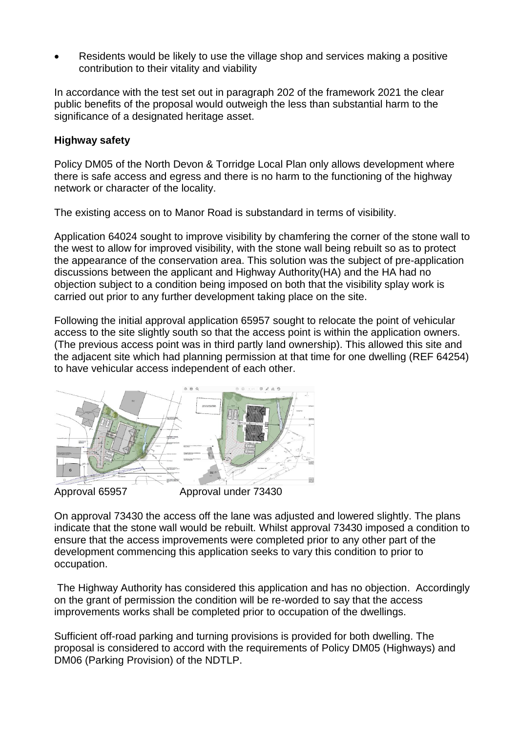Residents would be likely to use the village shop and services making a positive contribution to their vitality and viability

In accordance with the test set out in paragraph 202 of the framework 2021 the clear public benefits of the proposal would outweigh the less than substantial harm to the significance of a designated heritage asset.

#### **Highway safety**

Policy DM05 of the North Devon & Torridge Local Plan only allows development where there is safe access and egress and there is no harm to the functioning of the highway network or character of the locality.

The existing access on to Manor Road is substandard in terms of visibility.

Application 64024 sought to improve visibility by chamfering the corner of the stone wall to the west to allow for improved visibility, with the stone wall being rebuilt so as to protect the appearance of the conservation area. This solution was the subject of pre-application discussions between the applicant and Highway Authority(HA) and the HA had no objection subject to a condition being imposed on both that the visibility splay work is carried out prior to any further development taking place on the site.

Following the initial approval application 65957 sought to relocate the point of vehicular access to the site slightly south so that the access point is within the application owners. (The previous access point was in third partly land ownership). This allowed this site and the adjacent site which had planning permission at that time for one dwelling (REF 64254) to have vehicular access independent of each other.



Approval 65957 Approval under 73430

On approval 73430 the access off the lane was adjusted and lowered slightly. The plans indicate that the stone wall would be rebuilt. Whilst approval 73430 imposed a condition to ensure that the access improvements were completed prior to any other part of the development commencing this application seeks to vary this condition to prior to occupation.

The Highway Authority has considered this application and has no objection. Accordingly on the grant of permission the condition will be re-worded to say that the access improvements works shall be completed prior to occupation of the dwellings.

Sufficient off-road parking and turning provisions is provided for both dwelling. The proposal is considered to accord with the requirements of Policy DM05 (Highways) and DM06 (Parking Provision) of the NDTLP.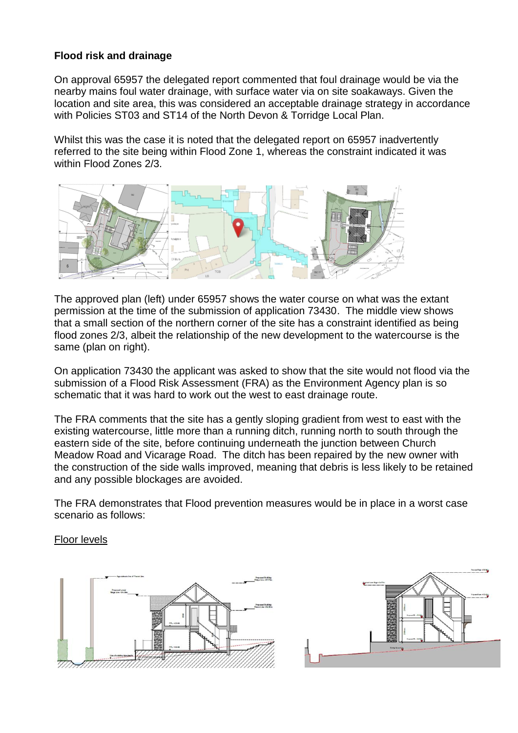# **Flood risk and drainage**

On approval 65957 the delegated report commented that foul drainage would be via the nearby mains foul water drainage, with surface water via on site soakaways. Given the location and site area, this was considered an acceptable drainage strategy in accordance with Policies ST03 and ST14 of the North Devon & Torridge Local Plan.

Whilst this was the case it is noted that the delegated report on 65957 inadvertently referred to the site being within Flood Zone 1, whereas the constraint indicated it was within Flood Zones 2/3.



The approved plan (left) under 65957 shows the water course on what was the extant permission at the time of the submission of application 73430. The middle view shows that a small section of the northern corner of the site has a constraint identified as being flood zones 2/3, albeit the relationship of the new development to the watercourse is the same (plan on right).

On application 73430 the applicant was asked to show that the site would not flood via the submission of a Flood Risk Assessment (FRA) as the Environment Agency plan is so schematic that it was hard to work out the west to east drainage route.

The FRA comments that the site has a gently sloping gradient from west to east with the existing watercourse, little more than a running ditch, running north to south through the eastern side of the site, before continuing underneath the junction between Church Meadow Road and Vicarage Road. The ditch has been repaired by the new owner with the construction of the side walls improved, meaning that debris is less likely to be retained and any possible blockages are avoided.

The FRA demonstrates that Flood prevention measures would be in place in a worst case scenario as follows:

#### Floor levels



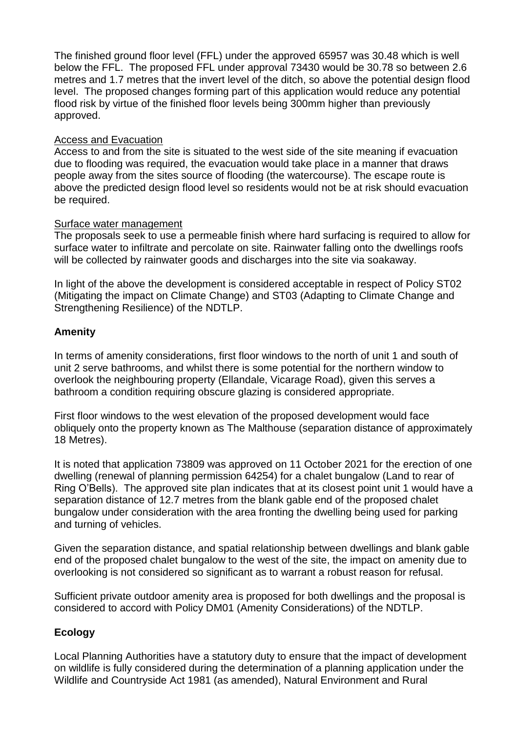The finished ground floor level (FFL) under the approved 65957 was 30.48 which is well below the FFL. The proposed FFL under approval 73430 would be 30.78 so between 2.6 metres and 1.7 metres that the invert level of the ditch, so above the potential design flood level. The proposed changes forming part of this application would reduce any potential flood risk by virtue of the finished floor levels being 300mm higher than previously approved.

#### Access and Evacuation

Access to and from the site is situated to the west side of the site meaning if evacuation due to flooding was required, the evacuation would take place in a manner that draws people away from the sites source of flooding (the watercourse). The escape route is above the predicted design flood level so residents would not be at risk should evacuation be required.

#### Surface water management

The proposals seek to use a permeable finish where hard surfacing is required to allow for surface water to infiltrate and percolate on site. Rainwater falling onto the dwellings roofs will be collected by rainwater goods and discharges into the site via soakaway.

In light of the above the development is considered acceptable in respect of Policy ST02 (Mitigating the impact on Climate Change) and ST03 (Adapting to Climate Change and Strengthening Resilience) of the NDTLP.

# **Amenity**

In terms of amenity considerations, first floor windows to the north of unit 1 and south of unit 2 serve bathrooms, and whilst there is some potential for the northern window to overlook the neighbouring property (Ellandale, Vicarage Road), given this serves a bathroom a condition requiring obscure glazing is considered appropriate.

First floor windows to the west elevation of the proposed development would face obliquely onto the property known as The Malthouse (separation distance of approximately 18 Metres).

It is noted that application 73809 was approved on 11 October 2021 for the erection of one dwelling (renewal of planning permission 64254) for a chalet bungalow (Land to rear of Ring O'Bells). The approved site plan indicates that at its closest point unit 1 would have a separation distance of 12.7 metres from the blank gable end of the proposed chalet bungalow under consideration with the area fronting the dwelling being used for parking and turning of vehicles.

Given the separation distance, and spatial relationship between dwellings and blank gable end of the proposed chalet bungalow to the west of the site, the impact on amenity due to overlooking is not considered so significant as to warrant a robust reason for refusal.

Sufficient private outdoor amenity area is proposed for both dwellings and the proposal is considered to accord with Policy DM01 (Amenity Considerations) of the NDTLP.

# **Ecology**

Local Planning Authorities have a statutory duty to ensure that the impact of development on wildlife is fully considered during the determination of a planning application under the Wildlife and Countryside Act 1981 (as amended), Natural Environment and Rural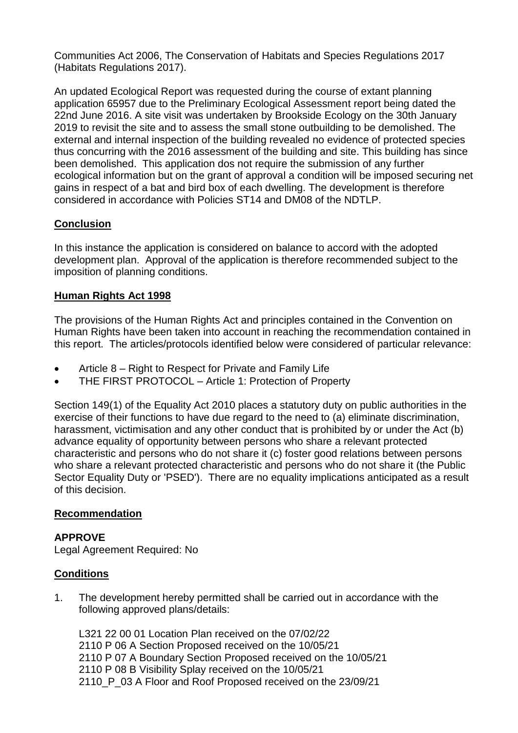Communities Act 2006, The Conservation of Habitats and Species Regulations 2017 (Habitats Regulations 2017).

An updated Ecological Report was requested during the course of extant planning application 65957 due to the Preliminary Ecological Assessment report being dated the 22nd June 2016. A site visit was undertaken by Brookside Ecology on the 30th January 2019 to revisit the site and to assess the small stone outbuilding to be demolished. The external and internal inspection of the building revealed no evidence of protected species thus concurring with the 2016 assessment of the building and site. This building has since been demolished. This application dos not require the submission of any further ecological information but on the grant of approval a condition will be imposed securing net gains in respect of a bat and bird box of each dwelling. The development is therefore considered in accordance with Policies ST14 and DM08 of the NDTLP.

# **Conclusion**

In this instance the application is considered on balance to accord with the adopted development plan. Approval of the application is therefore recommended subject to the imposition of planning conditions.

# **Human Rights Act 1998**

The provisions of the Human Rights Act and principles contained in the Convention on Human Rights have been taken into account in reaching the recommendation contained in this report. The articles/protocols identified below were considered of particular relevance:

- Article 8 Right to Respect for Private and Family Life
- THE FIRST PROTOCOL Article 1: Protection of Property

Section 149(1) of the Equality Act 2010 places a statutory duty on public authorities in the exercise of their functions to have due regard to the need to (a) eliminate discrimination, harassment, victimisation and any other conduct that is prohibited by or under the Act (b) advance equality of opportunity between persons who share a relevant protected characteristic and persons who do not share it (c) foster good relations between persons who share a relevant protected characteristic and persons who do not share it (the Public Sector Equality Duty or 'PSED'). There are no equality implications anticipated as a result of this decision.

# **Recommendation**

# **APPROVE**

Legal Agreement Required: No

# **Conditions**

1. The development hereby permitted shall be carried out in accordance with the following approved plans/details:

L321 22 00 01 Location Plan received on the 07/02/22 2110 P 06 A Section Proposed received on the 10/05/21 2110 P 07 A Boundary Section Proposed received on the 10/05/21 2110 P 08 B Visibility Splay received on the 10/05/21 2110 P 03 A Floor and Roof Proposed received on the 23/09/21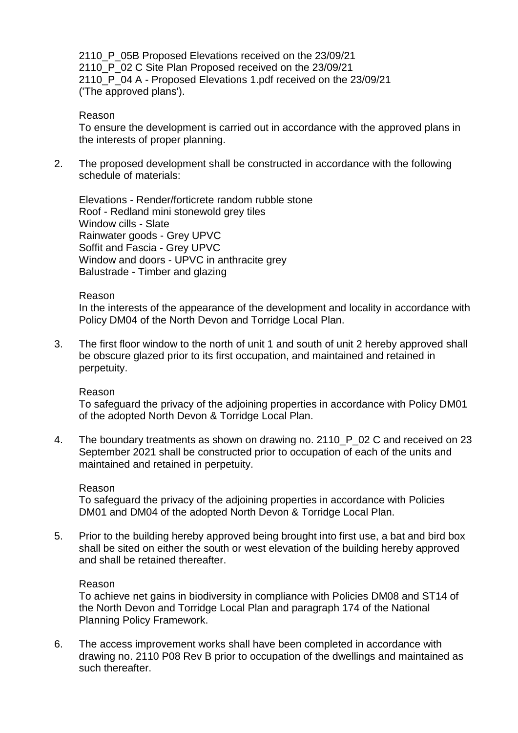2110 P 05B Proposed Elevations received on the 23/09/21 2110 P 02 C Site Plan Proposed received on the 23/09/21 2110 P 04 A - Proposed Elevations 1.pdf received on the 23/09/21 ('The approved plans').

#### Reason

To ensure the development is carried out in accordance with the approved plans in the interests of proper planning.

2. The proposed development shall be constructed in accordance with the following schedule of materials:

Elevations - Render/forticrete random rubble stone Roof - Redland mini stonewold grey tiles Window cills - Slate Rainwater goods - Grey UPVC Soffit and Fascia - Grey UPVC Window and doors - UPVC in anthracite grey Balustrade - Timber and glazing

#### Reason

In the interests of the appearance of the development and locality in accordance with Policy DM04 of the North Devon and Torridge Local Plan.

3. The first floor window to the north of unit 1 and south of unit 2 hereby approved shall be obscure glazed prior to its first occupation, and maintained and retained in perpetuity.

#### Reason

To safeguard the privacy of the adjoining properties in accordance with Policy DM01 of the adopted North Devon & Torridge Local Plan.

4. The boundary treatments as shown on drawing no. 2110\_P\_02 C and received on 23 September 2021 shall be constructed prior to occupation of each of the units and maintained and retained in perpetuity.

#### Reason

To safeguard the privacy of the adjoining properties in accordance with Policies DM01 and DM04 of the adopted North Devon & Torridge Local Plan.

5. Prior to the building hereby approved being brought into first use, a bat and bird box shall be sited on either the south or west elevation of the building hereby approved and shall be retained thereafter.

#### Reason

To achieve net gains in biodiversity in compliance with Policies DM08 and ST14 of the North Devon and Torridge Local Plan and paragraph 174 of the National Planning Policy Framework.

6. The access improvement works shall have been completed in accordance with drawing no. 2110 P08 Rev B prior to occupation of the dwellings and maintained as such thereafter